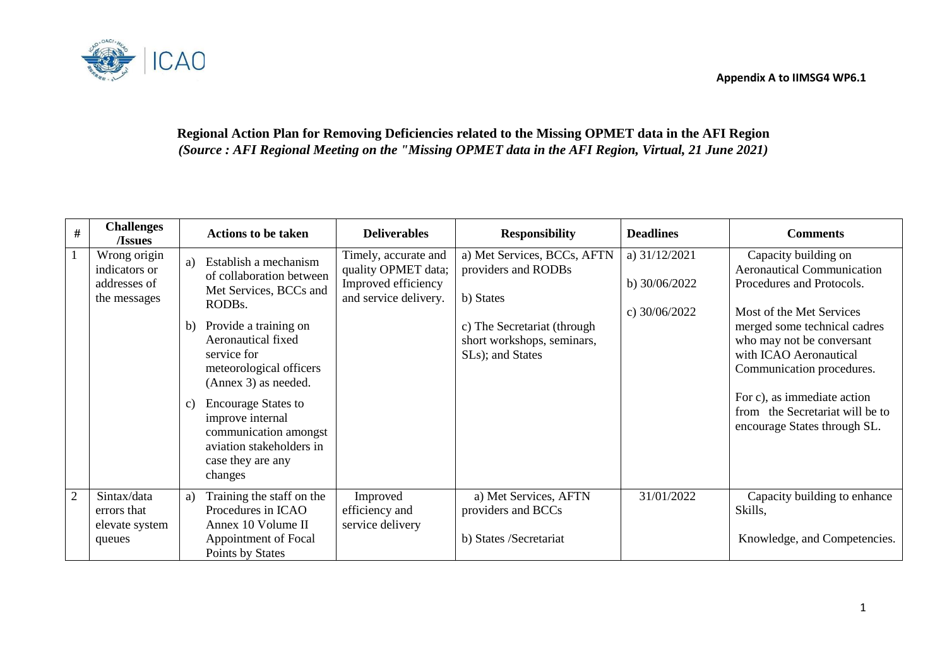

# **Regional Action Plan for Removing Deficiencies related to the Missing OPMET data in the AFI Region** *(Source : AFI Regional Meeting on the "Missing OPMET data in the AFI Region, Virtual, 21 June 2021)*

| $\#$ | <b>Challenges</b><br>/Issues                                  | <b>Actions to be taken</b>                                                                                                                                                                                                                                                                                                                                      | <b>Deliverables</b>                                                                         | <b>Responsibility</b>                                                                                                                            | <b>Deadlines</b>                                      | <b>Comments</b>                                                                                                                                                                                                                                                                                                                          |
|------|---------------------------------------------------------------|-----------------------------------------------------------------------------------------------------------------------------------------------------------------------------------------------------------------------------------------------------------------------------------------------------------------------------------------------------------------|---------------------------------------------------------------------------------------------|--------------------------------------------------------------------------------------------------------------------------------------------------|-------------------------------------------------------|------------------------------------------------------------------------------------------------------------------------------------------------------------------------------------------------------------------------------------------------------------------------------------------------------------------------------------------|
|      | Wrong origin<br>indicators or<br>addresses of<br>the messages | Establish a mechanism<br>a)<br>of collaboration between<br>Met Services, BCCs and<br>RODBs.<br>Provide a training on<br>b)<br>Aeronautical fixed<br>service for<br>meteorological officers<br>(Annex 3) as needed.<br><b>Encourage States to</b><br>c)<br>improve internal<br>communication amongst<br>aviation stakeholders in<br>case they are any<br>changes | Timely, accurate and<br>quality OPMET data;<br>Improved efficiency<br>and service delivery. | a) Met Services, BCCs, AFTN<br>providers and RODBs<br>b) States<br>c) The Secretariat (through<br>short workshops, seminars,<br>SLs); and States | a) $31/12/2021$<br>b) $30/06/2022$<br>c) $30/06/2022$ | Capacity building on<br><b>Aeronautical Communication</b><br>Procedures and Protocols.<br>Most of the Met Services<br>merged some technical cadres<br>who may not be conversant<br>with ICAO Aeronautical<br>Communication procedures.<br>For c), as immediate action<br>from the Secretariat will be to<br>encourage States through SL. |
| 2    | Sintax/data<br>errors that<br>elevate system<br>queues        | Training the staff on the<br>a)<br>Procedures in ICAO<br>Annex 10 Volume II<br>Appointment of Focal<br>Points by States                                                                                                                                                                                                                                         | Improved<br>efficiency and<br>service delivery                                              | a) Met Services, AFTN<br>providers and BCCs<br>b) States /Secretariat                                                                            | 31/01/2022                                            | Capacity building to enhance<br>Skills,<br>Knowledge, and Competencies.                                                                                                                                                                                                                                                                  |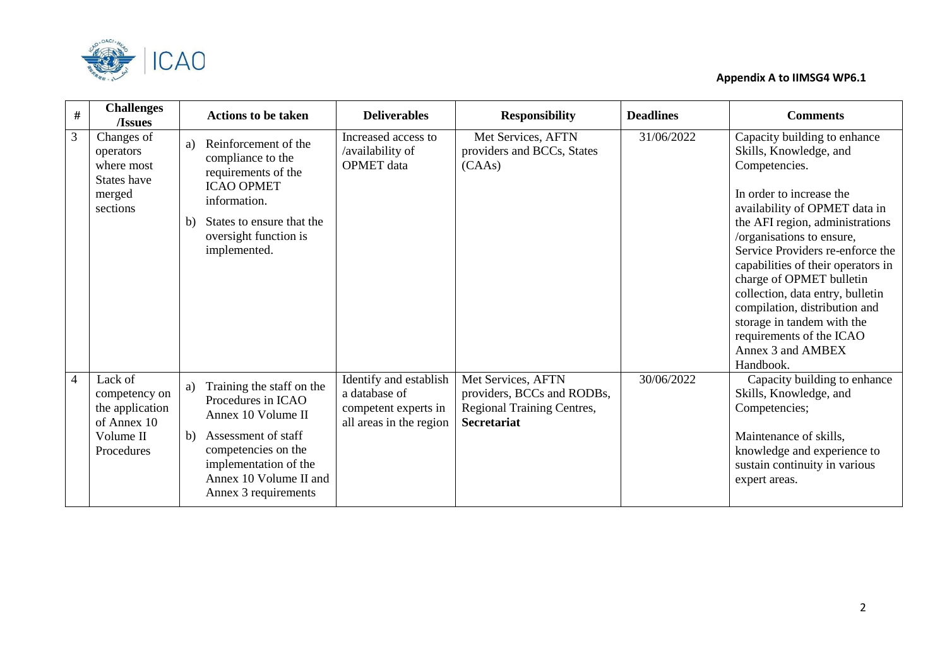

| $\#$           | <b>Challenges</b><br>/Issues                                                          | <b>Actions to be taken</b>                                                                                                                                                                                 | <b>Deliverables</b>                                                                        | <b>Responsibility</b>                                                                                       | <b>Deadlines</b> | <b>Comments</b>                                                                                                                                                                                                                                                                                                                                                                                                                                                             |
|----------------|---------------------------------------------------------------------------------------|------------------------------------------------------------------------------------------------------------------------------------------------------------------------------------------------------------|--------------------------------------------------------------------------------------------|-------------------------------------------------------------------------------------------------------------|------------------|-----------------------------------------------------------------------------------------------------------------------------------------------------------------------------------------------------------------------------------------------------------------------------------------------------------------------------------------------------------------------------------------------------------------------------------------------------------------------------|
| 3              | Changes of<br>operators<br>where most<br>States have<br>merged<br>sections            | Reinforcement of the<br>a)<br>compliance to the<br>requirements of the<br><b>ICAO OPMET</b><br>information.<br>States to ensure that the<br>b)<br>oversight function is<br>implemented.                    | Increased access to<br>/availability of<br><b>OPMET</b> data                               | Met Services, AFTN<br>providers and BCCs, States<br>(CAAs)                                                  | 31/06/2022       | Capacity building to enhance<br>Skills, Knowledge, and<br>Competencies.<br>In order to increase the<br>availability of OPMET data in<br>the AFI region, administrations<br>/organisations to ensure,<br>Service Providers re-enforce the<br>capabilities of their operators in<br>charge of OPMET bulletin<br>collection, data entry, bulletin<br>compilation, distribution and<br>storage in tandem with the<br>requirements of the ICAO<br>Annex 3 and AMBEX<br>Handbook. |
| $\overline{4}$ | Lack of<br>competency on<br>the application<br>of Annex 10<br>Volume II<br>Procedures | Training the staff on the<br>a)<br>Procedures in ICAO<br>Annex 10 Volume II<br>Assessment of staff<br>b)<br>competencies on the<br>implementation of the<br>Annex 10 Volume II and<br>Annex 3 requirements | Identify and establish<br>a database of<br>competent experts in<br>all areas in the region | Met Services, AFTN<br>providers, BCCs and RODBs,<br><b>Regional Training Centres,</b><br><b>Secretariat</b> | 30/06/2022       | Capacity building to enhance<br>Skills, Knowledge, and<br>Competencies;<br>Maintenance of skills,<br>knowledge and experience to<br>sustain continuity in various<br>expert areas.                                                                                                                                                                                                                                                                                          |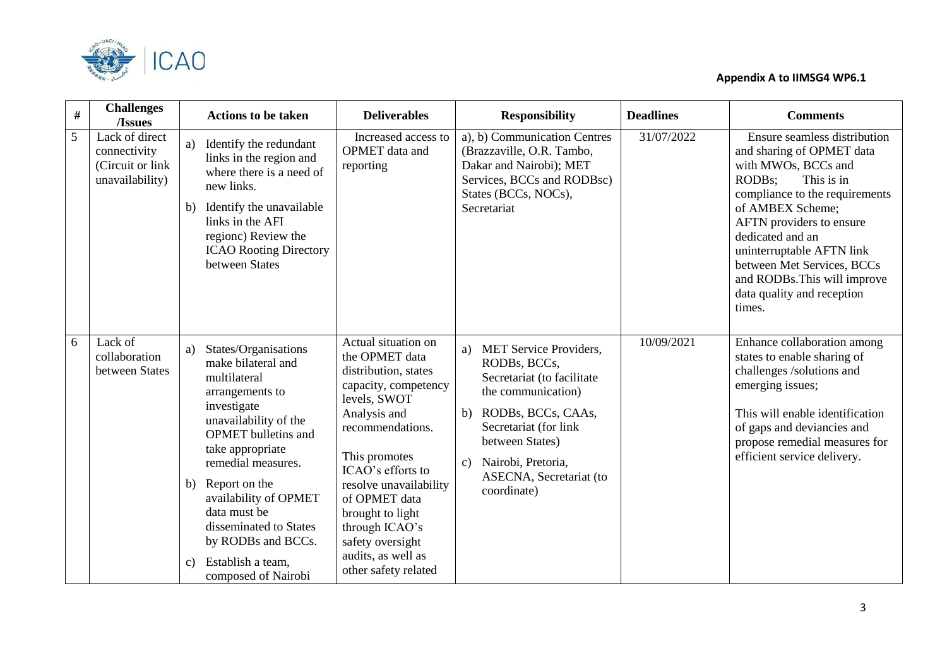

| $\#$ | <b>Challenges</b><br>/Issues                                           |                | <b>Actions to be taken</b>                                                                                                                                                                                                                                                                                                                          | <b>Deliverables</b>                                                                                                                                                                                                                                                                                                                | <b>Responsibility</b>                                                                                                                                                                                                                                | <b>Deadlines</b> | <b>Comments</b>                                                                                                                                                                                                                                                                                                                                   |
|------|------------------------------------------------------------------------|----------------|-----------------------------------------------------------------------------------------------------------------------------------------------------------------------------------------------------------------------------------------------------------------------------------------------------------------------------------------------------|------------------------------------------------------------------------------------------------------------------------------------------------------------------------------------------------------------------------------------------------------------------------------------------------------------------------------------|------------------------------------------------------------------------------------------------------------------------------------------------------------------------------------------------------------------------------------------------------|------------------|---------------------------------------------------------------------------------------------------------------------------------------------------------------------------------------------------------------------------------------------------------------------------------------------------------------------------------------------------|
| 5    | Lack of direct<br>connectivity<br>(Circuit or link)<br>unavailability) | a)<br>b)       | Identify the redundant<br>links in the region and<br>where there is a need of<br>new links.<br>Identify the unavailable<br>links in the AFI<br>regionc) Review the<br><b>ICAO Rooting Directory</b><br>between States                                                                                                                               | Increased access to<br>OPMET data and<br>reporting                                                                                                                                                                                                                                                                                 | a), b) Communication Centres<br>(Brazzaville, O.R. Tambo,<br>Dakar and Nairobi); MET<br>Services, BCCs and RODBsc)<br>States (BCCs, NOCs),<br>Secretariat                                                                                            | 31/07/2022       | Ensure seamless distribution<br>and sharing of OPMET data<br>with MWOs, BCCs and<br>RODBs:<br>This is in<br>compliance to the requirements<br>of AMBEX Scheme;<br>AFTN providers to ensure<br>dedicated and an<br>uninterruptable AFTN link<br>between Met Services, BCCs<br>and RODBs. This will improve<br>data quality and reception<br>times. |
| 6    | Lack of<br>collaboration<br>between States                             | a)<br>b)<br>c) | States/Organisations<br>make bilateral and<br>multilateral<br>arrangements to<br>investigate<br>unavailability of the<br><b>OPMET</b> bulletins and<br>take appropriate<br>remedial measures.<br>Report on the<br>availability of OPMET<br>data must be<br>disseminated to States<br>by RODBs and BCCs.<br>Establish a team,<br>composed of Nairobi | Actual situation on<br>the OPMET data<br>distribution, states<br>capacity, competency<br>levels, SWOT<br>Analysis and<br>recommendations.<br>This promotes<br>ICAO's efforts to<br>resolve unavailability<br>of OPMET data<br>brought to light<br>through ICAO's<br>safety oversight<br>audits, as well as<br>other safety related | a) MET Service Providers,<br>RODBs, BCCs,<br>Secretariat (to facilitate<br>the communication)<br>b) RODBs, BCCs, CAAs,<br>Secretariat (for link<br>between States)<br>Nairobi, Pretoria,<br>$\mathbf{c}$ )<br>ASECNA, Secretariat (to<br>coordinate) | 10/09/2021       | Enhance collaboration among<br>states to enable sharing of<br>challenges /solutions and<br>emerging issues;<br>This will enable identification<br>of gaps and deviancies and<br>propose remedial measures for<br>efficient service delivery.                                                                                                      |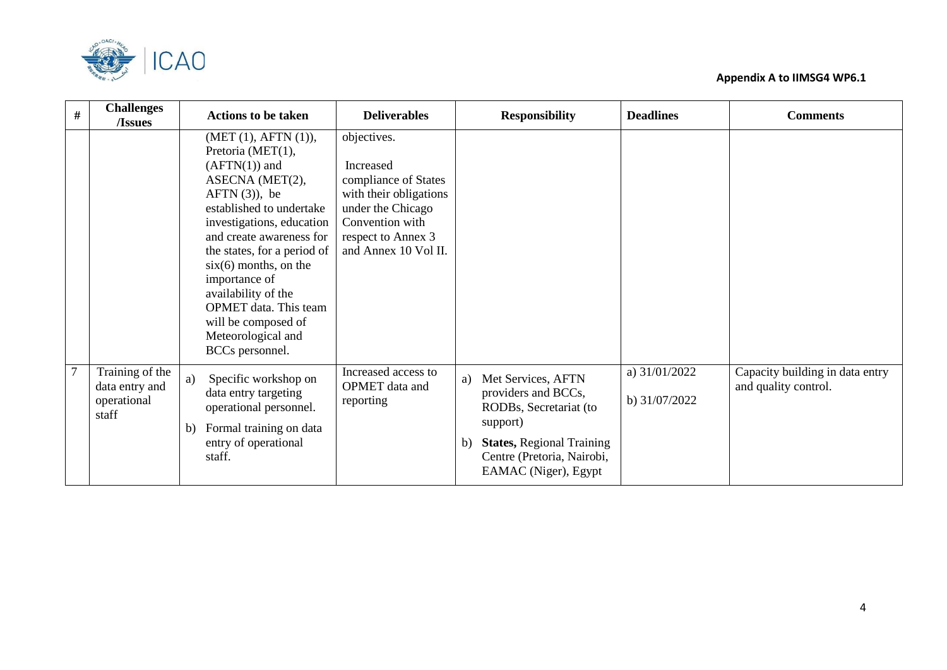



| $\#$           | <b>Challenges</b><br>/Issues                              | <b>Actions to be taken</b>                                                                                                                                                                                                                                                                                                                                                                | <b>Deliverables</b>                                                                                                                                              | <b>Responsibility</b>                                                                                                                                                                           | <b>Deadlines</b>               | <b>Comments</b>                                         |
|----------------|-----------------------------------------------------------|-------------------------------------------------------------------------------------------------------------------------------------------------------------------------------------------------------------------------------------------------------------------------------------------------------------------------------------------------------------------------------------------|------------------------------------------------------------------------------------------------------------------------------------------------------------------|-------------------------------------------------------------------------------------------------------------------------------------------------------------------------------------------------|--------------------------------|---------------------------------------------------------|
|                |                                                           | (MET (1), AFTN (1)),<br>Pretoria (MET(1),<br>$(AFTN(1))$ and<br>ASECNA (MET(2),<br>$AFTN(3)$ , be<br>established to undertake<br>investigations, education<br>and create awareness for<br>the states, for a period of<br>$\sin(6)$ months, on the<br>importance of<br>availability of the<br><b>OPMET</b> data. This team<br>will be composed of<br>Meteorological and<br>BCCs personnel. | objectives.<br>Increased<br>compliance of States<br>with their obligations<br>under the Chicago<br>Convention with<br>respect to Annex 3<br>and Annex 10 Vol II. |                                                                                                                                                                                                 |                                |                                                         |
| $\overline{7}$ | Training of the<br>data entry and<br>operational<br>staff | Specific workshop on<br>a)<br>data entry targeting<br>operational personnel.<br>Formal training on data<br>b)<br>entry of operational<br>staff.                                                                                                                                                                                                                                           | Increased access to<br>OPMET data and<br>reporting                                                                                                               | Met Services, AFTN<br>a)<br>providers and BCCs,<br>RODBs, Secretariat (to<br>support)<br><b>States, Regional Training</b><br>$\mathbf{b}$<br>Centre (Pretoria, Nairobi,<br>EAMAC (Niger), Egypt | a) 31/01/2022<br>b) 31/07/2022 | Capacity building in data entry<br>and quality control. |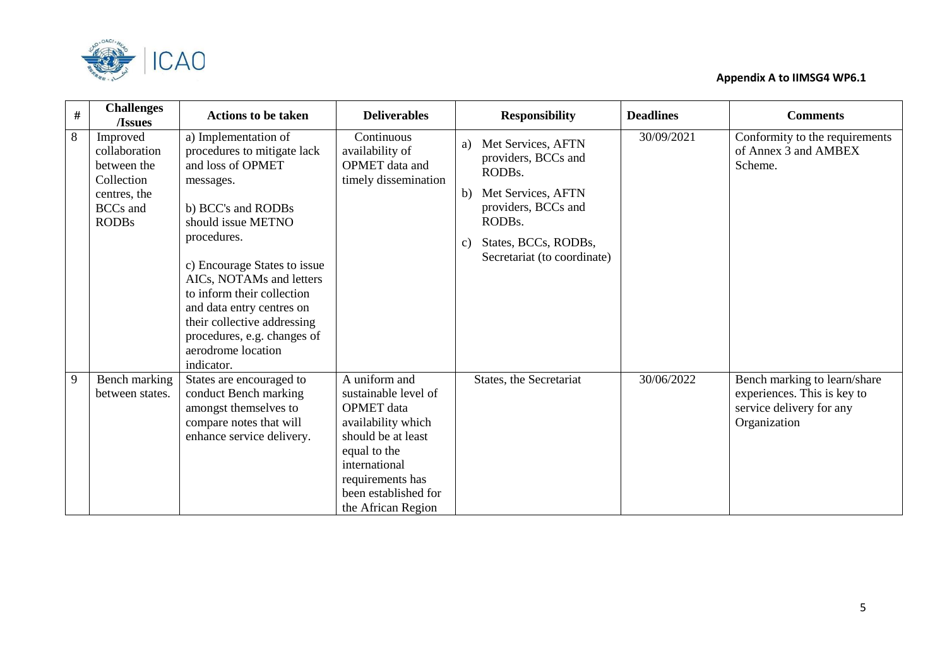

| $\#$ | <b>Challenges</b><br>/Issues                                                                              | <b>Actions to be taken</b>                                                                                                                                                                                                                                                                                                                                                | <b>Deliverables</b>                                                                                                                                                                                | <b>Responsibility</b>                                                                                                                                                                         | <b>Deadlines</b> | <b>Comments</b>                                                                                         |
|------|-----------------------------------------------------------------------------------------------------------|---------------------------------------------------------------------------------------------------------------------------------------------------------------------------------------------------------------------------------------------------------------------------------------------------------------------------------------------------------------------------|----------------------------------------------------------------------------------------------------------------------------------------------------------------------------------------------------|-----------------------------------------------------------------------------------------------------------------------------------------------------------------------------------------------|------------------|---------------------------------------------------------------------------------------------------------|
| 8    | Improved<br>collaboration<br>between the<br>Collection<br>centres, the<br><b>BCCs</b> and<br><b>RODBs</b> | a) Implementation of<br>procedures to mitigate lack<br>and loss of OPMET<br>messages.<br>b) BCC's and RODBs<br>should issue METNO<br>procedures.<br>c) Encourage States to issue<br>AICs, NOTAMs and letters<br>to inform their collection<br>and data entry centres on<br>their collective addressing<br>procedures, e.g. changes of<br>aerodrome location<br>indicator. | Continuous<br>availability of<br>OPMET data and<br>timely dissemination                                                                                                                            | Met Services, AFTN<br>a)<br>providers, BCCs and<br>RODBs.<br>b) Met Services, AFTN<br>providers, BCCs and<br>RODBs.<br>States, BCCs, RODBs,<br>$\mathcal{C}$ )<br>Secretariat (to coordinate) | 30/09/2021       | Conformity to the requirements<br>of Annex 3 and AMBEX<br>Scheme.                                       |
| 9    | Bench marking<br>between states.                                                                          | States are encouraged to<br>conduct Bench marking<br>amongst themselves to<br>compare notes that will<br>enhance service delivery.                                                                                                                                                                                                                                        | A uniform and<br>sustainable level of<br>OPMET data<br>availability which<br>should be at least<br>equal to the<br>international<br>requirements has<br>been established for<br>the African Region | States, the Secretariat                                                                                                                                                                       | 30/06/2022       | Bench marking to learn/share<br>experiences. This is key to<br>service delivery for any<br>Organization |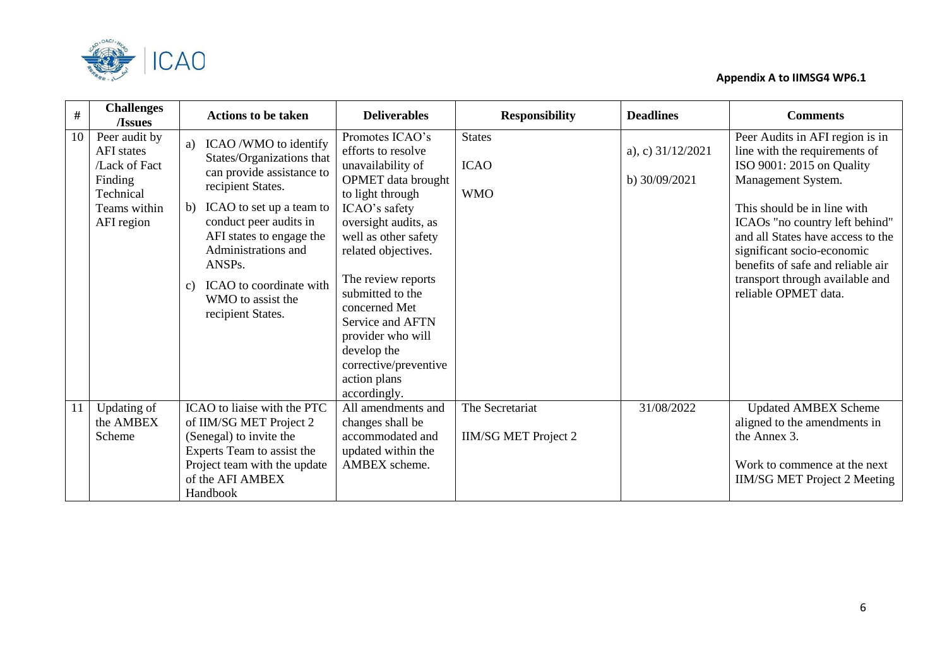

| #  | <b>Challenges</b><br>/Issues                                                                              | <b>Actions to be taken</b>                                                                                                                                                                                                                                                                                                  | <b>Deliverables</b>                                                                                                                                                                                                                                                                                                                                                             | <b>Responsibility</b>                          | <b>Deadlines</b>                     | <b>Comments</b>                                                                                                                                                                                                                                                                                                                                         |
|----|-----------------------------------------------------------------------------------------------------------|-----------------------------------------------------------------------------------------------------------------------------------------------------------------------------------------------------------------------------------------------------------------------------------------------------------------------------|---------------------------------------------------------------------------------------------------------------------------------------------------------------------------------------------------------------------------------------------------------------------------------------------------------------------------------------------------------------------------------|------------------------------------------------|--------------------------------------|---------------------------------------------------------------------------------------------------------------------------------------------------------------------------------------------------------------------------------------------------------------------------------------------------------------------------------------------------------|
| 10 | Peer audit by<br><b>AFI</b> states<br>/Lack of Fact<br>Finding<br>Technical<br>Teams within<br>AFI region | ICAO /WMO to identify<br>a)<br>States/Organizations that<br>can provide assistance to<br>recipient States.<br>ICAO to set up a team to<br>b)<br>conduct peer audits in<br>AFI states to engage the<br>Administrations and<br>ANSPs.<br>ICAO to coordinate with<br>$\mathcal{C}$ )<br>WMO to assist the<br>recipient States. | Promotes ICAO's<br>efforts to resolve<br>unavailability of<br><b>OPMET</b> data brought<br>to light through<br>ICAO's safety<br>oversight audits, as<br>well as other safety<br>related objectives.<br>The review reports<br>submitted to the<br>concerned Met<br>Service and AFTN<br>provider who will<br>develop the<br>corrective/preventive<br>action plans<br>accordingly. | <b>States</b><br><b>ICAO</b><br><b>WMO</b>     | a), c) $31/12/2021$<br>b) 30/09/2021 | Peer Audits in AFI region is in<br>line with the requirements of<br>ISO 9001: 2015 on Quality<br>Management System.<br>This should be in line with<br>ICAOs "no country left behind"<br>and all States have access to the<br>significant socio-economic<br>benefits of safe and reliable air<br>transport through available and<br>reliable OPMET data. |
| 11 | Updating of<br>the AMBEX<br>Scheme                                                                        | ICAO to liaise with the PTC<br>of IIM/SG MET Project 2<br>(Senegal) to invite the<br>Experts Team to assist the<br>Project team with the update<br>of the AFI AMBEX<br>Handbook                                                                                                                                             | All amendments and<br>changes shall be<br>accommodated and<br>updated within the<br>AMBEX scheme.                                                                                                                                                                                                                                                                               | The Secretariat<br><b>IIM/SG MET Project 2</b> | 31/08/2022                           | <b>Updated AMBEX Scheme</b><br>aligned to the amendments in<br>the Annex 3.<br>Work to commence at the next<br><b>IIM/SG MET Project 2 Meeting</b>                                                                                                                                                                                                      |